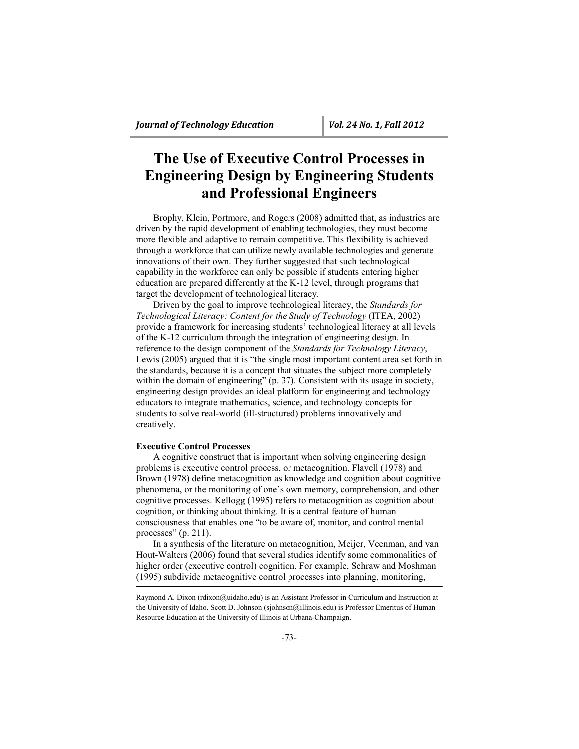# **The Use of Executive Control Processes in Engineering Design by Engineering Students and Professional Engineers**

Brophy, Klein, Portmore, and Rogers (2008) admitted that, as industries are driven by the rapid development of enabling technologies, they must become more flexible and adaptive to remain competitive. This flexibility is achieved through a workforce that can utilize newly available technologies and generate innovations of their own. They further suggested that such technological capability in the workforce can only be possible if students entering higher education are prepared differently at the K-12 level, through programs that target the development of technological literacy.

Driven by the goal to improve technological literacy, the *Standards for Technological Literacy: Content for the Study of Technology* (ITEA, 2002) provide a framework for increasing students' technological literacy at all levels of the K-12 curriculum through the integration of engineering design. In reference to the design component of the *Standards for Technology Literacy*, Lewis (2005) argued that it is "the single most important content area set forth in the standards, because it is a concept that situates the subject more completely within the domain of engineering" (p. 37). Consistent with its usage in society, engineering design provides an ideal platform for engineering and technology educators to integrate mathematics, science, and technology concepts for students to solve real-world (ill-structured) problems innovatively and creatively.

# **Executive Control Processes**

A cognitive construct that is important when solving engineering design problems is executive control process, or metacognition. Flavell (1978) and Brown (1978) define metacognition as knowledge and cognition about cognitive phenomena, or the monitoring of one's own memory, comprehension, and other cognitive processes. Kellogg (1995) refers to metacognition as cognition about cognition, or thinking about thinking. It is a central feature of human consciousness that enables one "to be aware of, monitor, and control mental processes"  $(p. 211)$ .

In a synthesis of the literature on metacognition, Meijer, Veenman, and van Hout-Walters (2006) found that several studies identify some commonalities of higher order (executive control) cognition. For example, Schraw and Moshman (1995) subdivide metacognitive control processes into planning, monitoring,

Raymond A. Dixon (rdixon@uidaho.edu) is an Assistant Professor in Curriculum and Instruction at the University of Idaho. Scott D. Johnson (sjohnson@illinois.edu) is Professor Emeritus of Human Resource Education at the University of Illinois at Urbana-Champaign.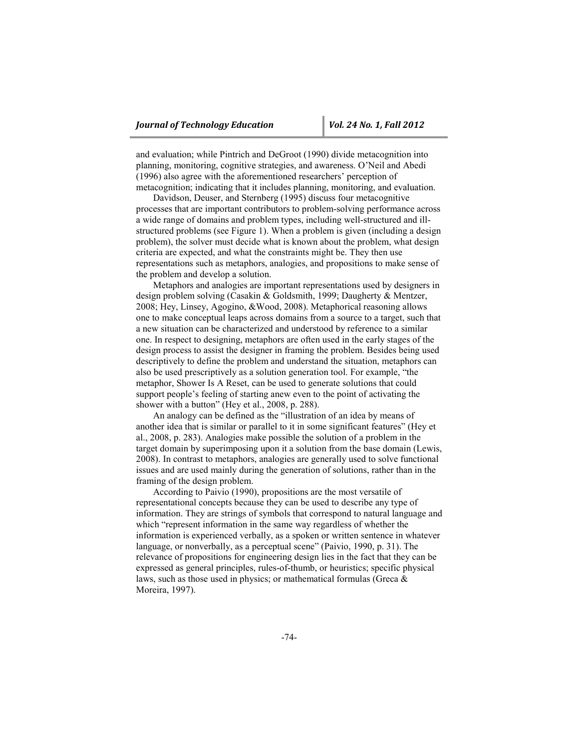and evaluation; while Pintrich and DeGroot (1990) divide metacognition into planning, monitoring, cognitive strategies, and awareness. O'Neil and Abedi (1996) also agree with the aforementioned researchers' perception of metacognition; indicating that it includes planning, monitoring, and evaluation.

Davidson, Deuser, and Sternberg (1995) discuss four metacognitive processes that are important contributors to problem-solving performance across a wide range of domains and problem types, including well-structured and illstructured problems (see Figure 1). When a problem is given (including a design problem), the solver must decide what is known about the problem, what design criteria are expected, and what the constraints might be. They then use representations such as metaphors, analogies, and propositions to make sense of the problem and develop a solution.

Metaphors and analogies are important representations used by designers in design problem solving (Casakin & Goldsmith, 1999; Daugherty & Mentzer, 2008; Hey, Linsey, Agogino, &Wood, 2008). Metaphorical reasoning allows one to make conceptual leaps across domains from a source to a target, such that a new situation can be characterized and understood by reference to a similar one. In respect to designing, metaphors are often used in the early stages of the design process to assist the designer in framing the problem. Besides being used descriptively to define the problem and understand the situation, metaphors can also be used prescriptively as a solution generation tool. For example, "the metaphor, Shower Is A Reset, can be used to generate solutions that could support people's feeling of starting anew even to the point of activating the shower with a button" (Hey et al., 2008, p. 288).

An analogy can be defined as the "illustration of an idea by means of another idea that is similar or parallel to it in some significant features" (Hey et al., 2008, p. 283). Analogies make possible the solution of a problem in the target domain by superimposing upon it a solution from the base domain (Lewis, 2008). In contrast to metaphors, analogies are generally used to solve functional issues and are used mainly during the generation of solutions, rather than in the framing of the design problem.

According to Paivio (1990), propositions are the most versatile of representational concepts because they can be used to describe any type of information. They are strings of symbols that correspond to natural language and which "represent information in the same way regardless of whether the information is experienced verbally, as a spoken or written sentence in whatever language, or nonverbally, as a perceptual scene" (Paivio, 1990, p. 31). The relevance of propositions for engineering design lies in the fact that they can be expressed as general principles, rules-of-thumb, or heuristics; specific physical laws, such as those used in physics; or mathematical formulas (Greca & Moreira, 1997).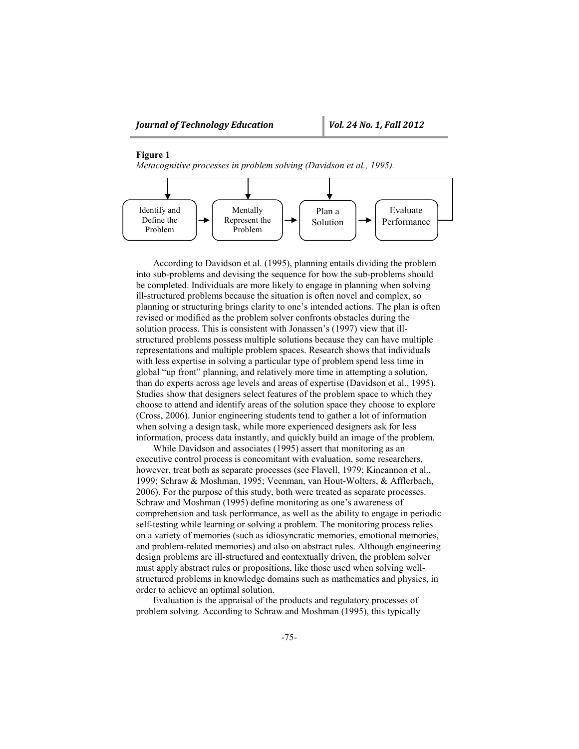# **Figure 1**

*Metacognitive processes in problem solving (Davidson et al., 1995).*



According to Davidson et al. (1995), planning entails dividing the problem into sub-problems and devising the sequence for how the sub-problems should be completed. Individuals are more likely to engage in planning when solving ill-structured problems because the situation is often novel and complex, so planning or structuring brings clarity to one's intended actions. The plan is often revised or modified as the problem solver confronts obstacles during the solution process. This is consistent with Jonassen's (1997) view that illstructured problems possess multiple solutions because they can have multiple representations and multiple problem spaces. Research shows that individuals with less expertise in solving a particular type of problem spend less time in global "up front" planning, and relatively more time in attempting a solution, than do experts across age levels and areas of expertise (Davidson et al., 1995). Studies show that designers select features of the problem space to which they choose to attend and identify areas of the solution space they choose to explore (Cross, 2006). Junior engineering students tend to gather a lot of information when solving a design task, while more experienced designers ask for less information, process data instantly, and quickly build an image of the problem.

While Davidson and associates (1995) assert that monitoring as an executive control process is concomitant with evaluation, some researchers, however, treat both as separate processes (see Flavell, 1979; Kincannon et al., 1999; Schraw & Moshman, 1995; Veenman, van Hout-Wolters, & Afflerbach, 2006). For the purpose of this study, both were treated as separate processes. Schraw and Moshman (1995) define monitoring as one's awareness of comprehension and task performance, as well as the ability to engage in periodic self-testing while learning or solving a problem. The monitoring process relies on a variety of memories (such as idiosyncratic memories, emotional memories, and problem-related memories) and also on abstract rules. Although engineering design problems are ill-structured and contextually driven, the problem solver must apply abstract rules or propositions, like those used when solving wellstructured problems in knowledge domains such as mathematics and physics, in order to achieve an optimal solution.

Evaluation is the appraisal of the products and regulatory processes of problem solving. According to Schraw and Moshman (1995), this typically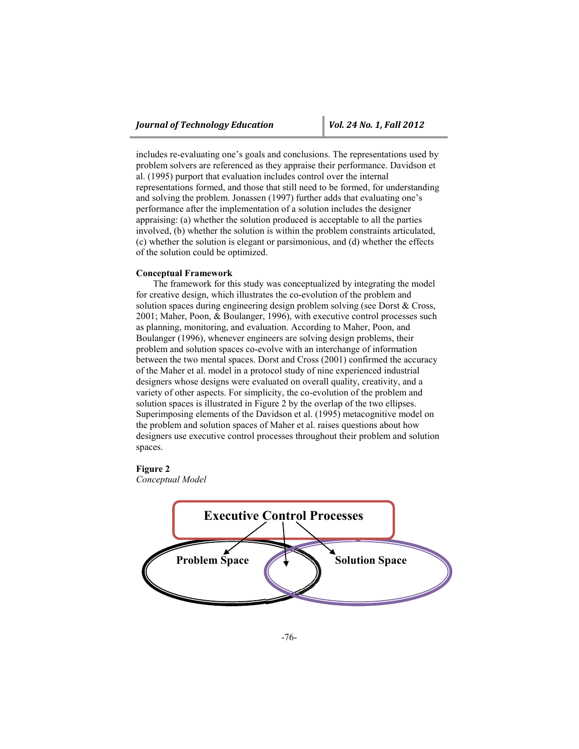includes re-evaluating one's goals and conclusions. The representations used by problem solvers are referenced as they appraise their performance. Davidson et al. (1995) purport that evaluation includes control over the internal representations formed, and those that still need to be formed, for understanding and solving the problem. Jonassen (1997) further adds that evaluating one's performance after the implementation of a solution includes the designer appraising: (a) whether the solution produced is acceptable to all the parties involved, (b) whether the solution is within the problem constraints articulated, (c) whether the solution is elegant or parsimonious, and (d) whether the effects of the solution could be optimized.

# **Conceptual Framework**

The framework for this study was conceptualized by integrating the model for creative design, which illustrates the co-evolution of the problem and solution spaces during engineering design problem solving (see Dorst & Cross, 2001; Maher, Poon, & Boulanger, 1996), with executive control processes such as planning, monitoring, and evaluation. According to Maher, Poon, and Boulanger (1996), whenever engineers are solving design problems, their problem and solution spaces co-evolve with an interchange of information between the two mental spaces. Dorst and Cross (2001) confirmed the accuracy of the Maher et al. model in a protocol study of nine experienced industrial designers whose designs were evaluated on overall quality, creativity, and a variety of other aspects. For simplicity, the co-evolution of the problem and solution spaces is illustrated in Figure 2 by the overlap of the two ellipses. Superimposing elements of the Davidson et al. (1995) metacognitive model on the problem and solution spaces of Maher et al. raises questions about how designers use executive control processes throughout their problem and solution spaces.

# **Figure 2**

*Conceptual Model*

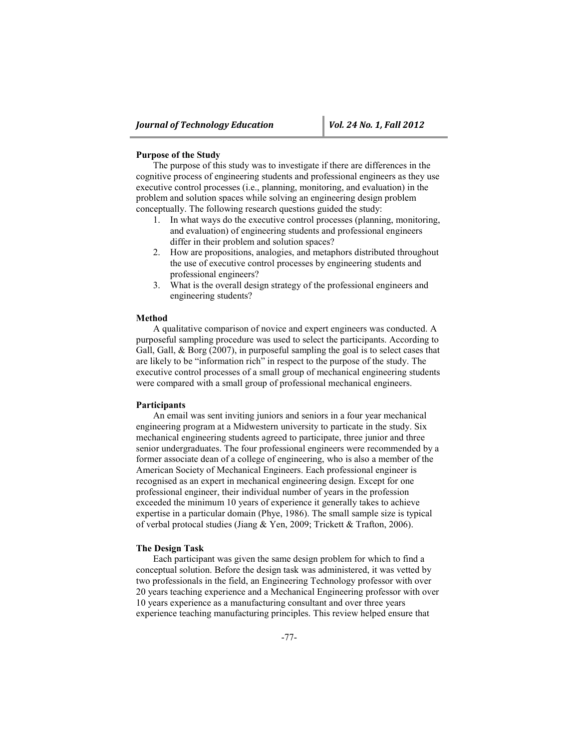# **Purpose of the Study**

The purpose of this study was to investigate if there are differences in the cognitive process of engineering students and professional engineers as they use executive control processes (i.e., planning, monitoring, and evaluation) in the problem and solution spaces while solving an engineering design problem conceptually. The following research questions guided the study:

- 1. In what ways do the executive control processes (planning, monitoring, and evaluation) of engineering students and professional engineers differ in their problem and solution spaces?
- 2. How are propositions, analogies, and metaphors distributed throughout the use of executive control processes by engineering students and professional engineers?
- 3. What is the overall design strategy of the professional engineers and engineering students?

#### **Method**

A qualitative comparison of novice and expert engineers was conducted. A purposeful sampling procedure was used to select the participants. According to Gall, Gall, & Borg (2007), in purposeful sampling the goal is to select cases that are likely to be "information rich" in respect to the purpose of the study. The executive control processes of a small group of mechanical engineering students were compared with a small group of professional mechanical engineers.

# **Participants**

An email was sent inviting juniors and seniors in a four year mechanical engineering program at a Midwestern university to particate in the study. Six mechanical engineering students agreed to participate, three junior and three senior undergraduates. The four professional engineers were recommended by a former associate dean of a college of engineering, who is also a member of the American Society of Mechanical Engineers. Each professional engineer is recognised as an expert in mechanical engineering design. Except for one professional engineer, their individual number of years in the profession exceeded the minimum 10 years of experience it generally takes to achieve expertise in a particular domain (Phye, 1986). The small sample size is typical of verbal protocal studies (Jiang & Yen, 2009; Trickett & Trafton, 2006).

#### **The Design Task**

Each participant was given the same design problem for which to find a conceptual solution. Before the design task was administered, it was vetted by two professionals in the field, an Engineering Technology professor with over 20 years teaching experience and a Mechanical Engineering professor with over 10 years experience as a manufacturing consultant and over three years experience teaching manufacturing principles. This review helped ensure that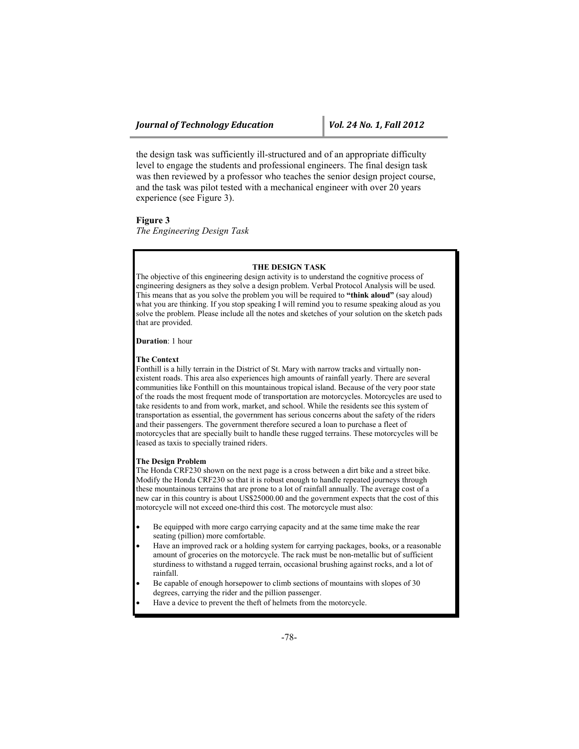the design task was sufficiently ill-structured and of an appropriate difficulty level to engage the students and professional engineers. The final design task was then reviewed by a professor who teaches the senior design project course, and the task was pilot tested with a mechanical engineer with over 20 years experience (see Figure 3).

**Figure 3**

*The Engineering Design Task*

# **THE DESIGN TASK**

The objective of this engineering design activity is to understand the cognitive process of engineering designers as they solve a design problem. Verbal Protocol Analysis will be used. This means that as you solve the problem you will be required to **"think aloud"** (say aloud) what you are thinking. If you stop speaking I will remind you to resume speaking aloud as you solve the problem. Please include all the notes and sketches of your solution on the sketch pads that are provided.

**Duration**: 1 hour

#### **The Context**

Fonthill is a hilly terrain in the District of St. Mary with narrow tracks and virtually nonexistent roads. This area also experiences high amounts of rainfall yearly. There are several communities like Fonthill on this mountainous tropical island. Because of the very poor state of the roads the most frequent mode of transportation are motorcycles. Motorcycles are used to take residents to and from work, market, and school. While the residents see this system of transportation as essential, the government has serious concerns about the safety of the riders and their passengers. The government therefore secured a loan to purchase a fleet of motorcycles that are specially built to handle these rugged terrains. These motorcycles will be leased as taxis to specially trained riders.

#### **The Design Problem**

The Honda CRF230 shown on the next page is a cross between a dirt bike and a street bike. Modify the Honda CRF230 so that it is robust enough to handle repeated journeys through these mountainous terrains that are prone to a lot of rainfall annually. The average cost of a new car in this country is about US\$25000.00 and the government expects that the cost of this motorcycle will not exceed one-third this cost. The motorcycle must also:

- Be equipped with more cargo carrying capacity and at the same time make the rear seating (pillion) more comfortable.
- Have an improved rack or a holding system for carrying packages, books, or a reasonable amount of groceries on the motorcycle. The rack must be non-metallic but of sufficient sturdiness to withstand a rugged terrain, occasional brushing against rocks, and a lot of rainfall.
- Be capable of enough horsepower to climb sections of mountains with slopes of 30 degrees, carrying the rider and the pillion passenger.
- Have a device to prevent the theft of helmets from the motorcycle.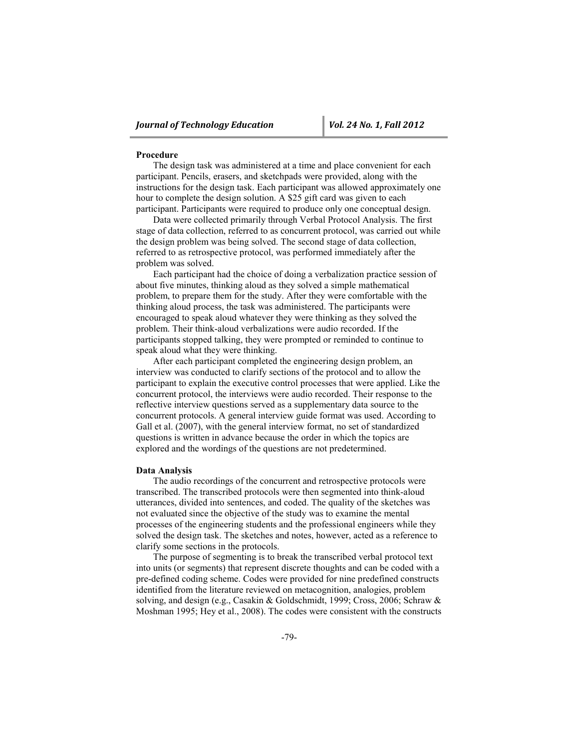#### **Procedure**

The design task was administered at a time and place convenient for each participant. Pencils, erasers, and sketchpads were provided, along with the instructions for the design task. Each participant was allowed approximately one hour to complete the design solution. A \$25 gift card was given to each participant. Participants were required to produce only one conceptual design.

Data were collected primarily through Verbal Protocol Analysis. The first stage of data collection, referred to as concurrent protocol, was carried out while the design problem was being solved. The second stage of data collection, referred to as retrospective protocol, was performed immediately after the problem was solved.

Each participant had the choice of doing a verbalization practice session of about five minutes, thinking aloud as they solved a simple mathematical problem, to prepare them for the study. After they were comfortable with the thinking aloud process, the task was administered. The participants were encouraged to speak aloud whatever they were thinking as they solved the problem. Their think-aloud verbalizations were audio recorded. If the participants stopped talking, they were prompted or reminded to continue to speak aloud what they were thinking.

After each participant completed the engineering design problem, an interview was conducted to clarify sections of the protocol and to allow the participant to explain the executive control processes that were applied. Like the concurrent protocol, the interviews were audio recorded. Their response to the reflective interview questions served as a supplementary data source to the concurrent protocols. A general interview guide format was used. According to Gall et al. (2007), with the general interview format, no set of standardized questions is written in advance because the order in which the topics are explored and the wordings of the questions are not predetermined.

# **Data Analysis**

The audio recordings of the concurrent and retrospective protocols were transcribed. The transcribed protocols were then segmented into think-aloud utterances, divided into sentences, and coded. The quality of the sketches was not evaluated since the objective of the study was to examine the mental processes of the engineering students and the professional engineers while they solved the design task. The sketches and notes, however, acted as a reference to clarify some sections in the protocols.

The purpose of segmenting is to break the transcribed verbal protocol text into units (or segments) that represent discrete thoughts and can be coded with a pre-defined coding scheme. Codes were provided for nine predefined constructs identified from the literature reviewed on metacognition, analogies, problem solving, and design (e.g., Casakin & Goldschmidt, 1999; Cross, 2006; Schraw & Moshman 1995; Hey et al., 2008). The codes were consistent with the constructs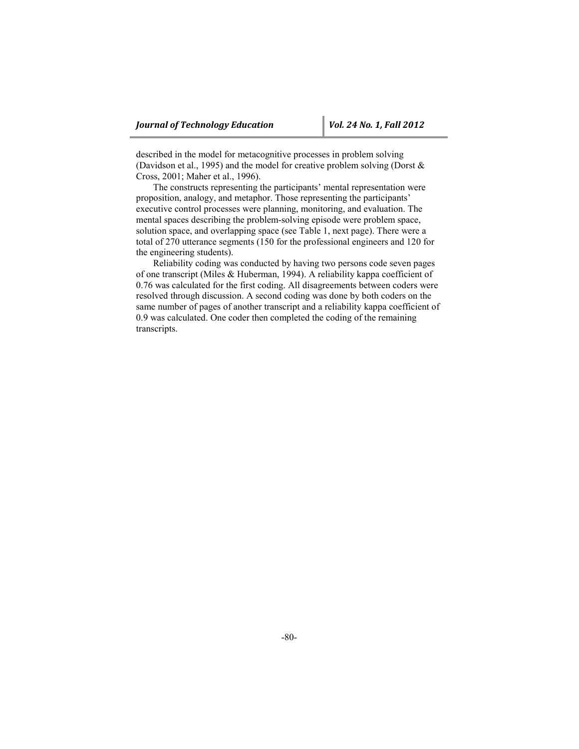described in the model for metacognitive processes in problem solving (Davidson et al., 1995) and the model for creative problem solving (Dorst & Cross, 2001; Maher et al., 1996).

The constructs representing the participants' mental representation were proposition, analogy, and metaphor. Those representing the participants' executive control processes were planning, monitoring, and evaluation. The mental spaces describing the problem-solving episode were problem space, solution space, and overlapping space (see Table 1, next page). There were a total of 270 utterance segments (150 for the professional engineers and 120 for the engineering students).

Reliability coding was conducted by having two persons code seven pages of one transcript (Miles & Huberman, 1994). A reliability kappa coefficient of 0.76 was calculated for the first coding. All disagreements between coders were resolved through discussion. A second coding was done by both coders on the same number of pages of another transcript and a reliability kappa coefficient of 0.9 was calculated. One coder then completed the coding of the remaining transcripts.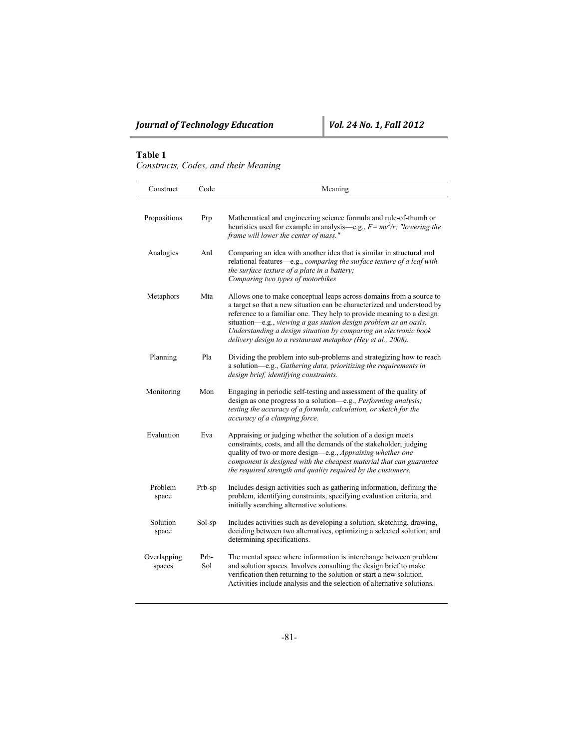# **Table 1**

*Constructs, Codes, and their Meaning*

| Construct             | Code        | Meaning                                                                                                                                                                                                                                                                                                                                                                                                                          |  |
|-----------------------|-------------|----------------------------------------------------------------------------------------------------------------------------------------------------------------------------------------------------------------------------------------------------------------------------------------------------------------------------------------------------------------------------------------------------------------------------------|--|
| Propositions          | Prp         | Mathematical and engineering science formula and rule-of-thumb or<br>heuristics used for example in analysis—e.g., $F = mv^2/r$ ; "lowering the<br>frame will lower the center of mass."                                                                                                                                                                                                                                         |  |
| Analogies             | Anl         | Comparing an idea with another idea that is similar in structural and<br>relational features-e.g., comparing the surface texture of a leaf with<br>the surface texture of a plate in a battery;<br>Comparing two types of motorbikes                                                                                                                                                                                             |  |
| Metaphors             | Mta         | Allows one to make conceptual leaps across domains from a source to<br>a target so that a new situation can be characterized and understood by<br>reference to a familiar one. They help to provide meaning to a design<br>situation-e.g., viewing a gas station design problem as an oasis.<br>Understanding a design situation by comparing an electronic book<br>delivery design to a restaurant metaphor (Hey et al., 2008). |  |
| Planning              | Pla         | Dividing the problem into sub-problems and strategizing how to reach<br>a solution-e.g., Gathering data, prioritizing the requirements in<br>design brief, identifying constraints.                                                                                                                                                                                                                                              |  |
| Monitoring            | Mon         | Engaging in periodic self-testing and assessment of the quality of<br>design as one progress to a solution-e.g., Performing analysis;<br>testing the accuracy of a formula, calculation, or sketch for the<br>accuracy of a clamping force.                                                                                                                                                                                      |  |
| Evaluation            | Eva         | Appraising or judging whether the solution of a design meets<br>constraints, costs, and all the demands of the stakeholder; judging<br>quality of two or more design-e.g., Appraising whether one<br>component is designed with the cheapest material that can guarantee<br>the required strength and quality required by the customers.                                                                                         |  |
| Problem<br>space      | Prb-sp      | Includes design activities such as gathering information, defining the<br>problem, identifying constraints, specifying evaluation criteria, and<br>initially searching alternative solutions.                                                                                                                                                                                                                                    |  |
| Solution<br>space     | Sol-sp      | Includes activities such as developing a solution, sketching, drawing,<br>deciding between two alternatives, optimizing a selected solution, and<br>determining specifications.                                                                                                                                                                                                                                                  |  |
| Overlapping<br>spaces | Prb-<br>Sol | The mental space where information is interchange between problem<br>and solution spaces. Involves consulting the design brief to make<br>verification then returning to the solution or start a new solution.<br>Activities include analysis and the selection of alternative solutions.                                                                                                                                        |  |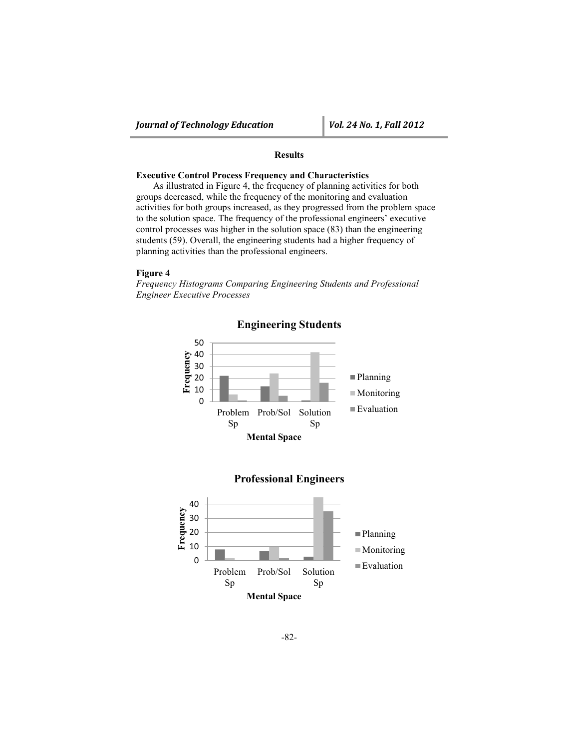# **Results**

# **Executive Control Process Frequency and Characteristics**

As illustrated in Figure 4, the frequency of planning activities for both groups decreased, while the frequency of the monitoring and evaluation activities for both groups increased, as they progressed from the problem space to the solution space. The frequency of the professional engineers' executive control processes was higher in the solution space (83) than the engineering students (59). Overall, the engineering students had a higher frequency of planning activities than the professional engineers.

# **Figure 4**

*Frequency Histograms Comparing Engineering Students and Professional Engineer Executive Processes*



**Engineering Students**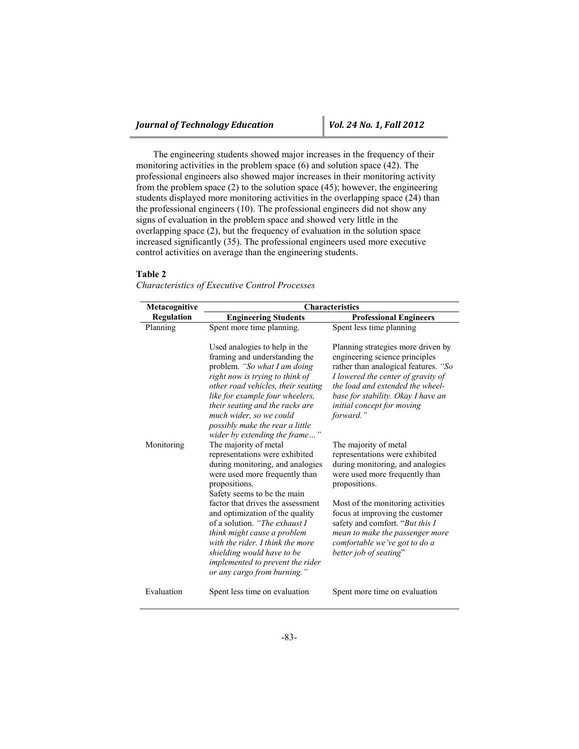The engineering students showed major increases in the frequency of their monitoring activities in the problem space (6) and solution space (42). The professional engineers also showed major increases in their monitoring activity from the problem space  $(2)$  to the solution space  $(45)$ ; however, the engineering students displayed more monitoring activities in the overlapping space (24) than the professional engineers (10). The professional engineers did not show any signs of evaluation in the problem space and showed very little in the overlapping space (2), but the frequency of evaluation in the solution space increased significantly (35). The professional engineers used more executive control activities on average than the engineering students.

#### **Table 2**

*Characteristics of Executive Control Processes*

| Metacognitive     | <b>Characteristics</b>                                                                                                                                                                                                                                                                                                                                                |                                                                                                                                                                                                                                                                                                  |  |  |
|-------------------|-----------------------------------------------------------------------------------------------------------------------------------------------------------------------------------------------------------------------------------------------------------------------------------------------------------------------------------------------------------------------|--------------------------------------------------------------------------------------------------------------------------------------------------------------------------------------------------------------------------------------------------------------------------------------------------|--|--|
| <b>Regulation</b> | <b>Engineering Students</b>                                                                                                                                                                                                                                                                                                                                           | <b>Professional Engineers</b>                                                                                                                                                                                                                                                                    |  |  |
| Planning          | Spent more time planning.                                                                                                                                                                                                                                                                                                                                             | Spent less time planning                                                                                                                                                                                                                                                                         |  |  |
| Monitoring        | Used analogies to help in the<br>framing and understanding the<br>problem. "So what I am doing<br>right now is trying to think of<br>other road vehicles, their seating<br>like for example four wheelers,<br>their seating and the racks are<br>much wider, so we could<br>possibly make the rear a little<br>wider by extending the frame"<br>The majority of metal | Planning strategies more driven by<br>engineering science principles<br>rather than analogical features. "So<br>I lowered the center of gravity of<br>the load and extended the wheel-<br>base for stability. Okay I have an<br>initial concept for moving<br>forward."<br>The majority of metal |  |  |
|                   | representations were exhibited<br>during monitoring, and analogies<br>were used more frequently than<br>propositions.<br>Safety seems to be the main                                                                                                                                                                                                                  | representations were exhibited<br>during monitoring, and analogies<br>were used more frequently than<br>propositions.                                                                                                                                                                            |  |  |
|                   | factor that drives the assessment<br>and optimization of the quality<br>of a solution. "The exhaust I<br>think might cause a problem<br>with the rider. I think the more<br>shielding would have to be<br>implemented to prevent the rider<br>or any cargo from burning."                                                                                             | Most of the monitoring activities<br>focus at improving the customer<br>safety and comfort. "But this I<br>mean to make the passenger more<br>comfortable we've got to do a<br>better job of seating"                                                                                            |  |  |
| Evaluation        | Spent less time on evaluation                                                                                                                                                                                                                                                                                                                                         | Spent more time on evaluation                                                                                                                                                                                                                                                                    |  |  |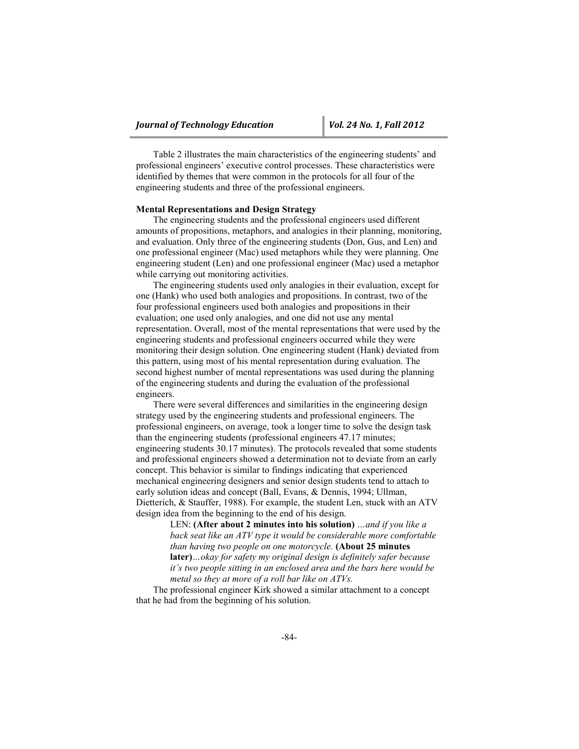Table 2 illustrates the main characteristics of the engineering students' and professional engineers' executive control processes. These characteristics were identified by themes that were common in the protocols for all four of the engineering students and three of the professional engineers.

#### **Mental Representations and Design Strategy**

The engineering students and the professional engineers used different amounts of propositions, metaphors, and analogies in their planning, monitoring, and evaluation. Only three of the engineering students (Don, Gus, and Len) and one professional engineer (Mac) used metaphors while they were planning. One engineering student (Len) and one professional engineer (Mac) used a metaphor while carrying out monitoring activities.

The engineering students used only analogies in their evaluation, except for one (Hank) who used both analogies and propositions. In contrast, two of the four professional engineers used both analogies and propositions in their evaluation; one used only analogies, and one did not use any mental representation. Overall, most of the mental representations that were used by the engineering students and professional engineers occurred while they were monitoring their design solution. One engineering student (Hank) deviated from this pattern, using most of his mental representation during evaluation. The second highest number of mental representations was used during the planning of the engineering students and during the evaluation of the professional engineers.

There were several differences and similarities in the engineering design strategy used by the engineering students and professional engineers. The professional engineers, on average, took a longer time to solve the design task than the engineering students (professional engineers 47.17 minutes; engineering students 30.17 minutes). The protocols revealed that some students and professional engineers showed a determination not to deviate from an early concept. This behavior is similar to findings indicating that experienced mechanical engineering designers and senior design students tend to attach to early solution ideas and concept (Ball, Evans, & Dennis, 1994; Ullman, Dietterich, & Stauffer, 1988). For example, the student Len, stuck with an ATV design idea from the beginning to the end of his design.

> LEN: **(After about 2 minutes into his solution)** *…and if you like a back seat like an ATV type it would be considerable more comfortable than having two people on one motorcycle.* **(About 25 minutes later)***…okay for safety my original design is definitely safer because it's two people sitting in an enclosed area and the bars here would be metal so they at more of a roll bar like on ATVs.*

The professional engineer Kirk showed a similar attachment to a concept that he had from the beginning of his solution.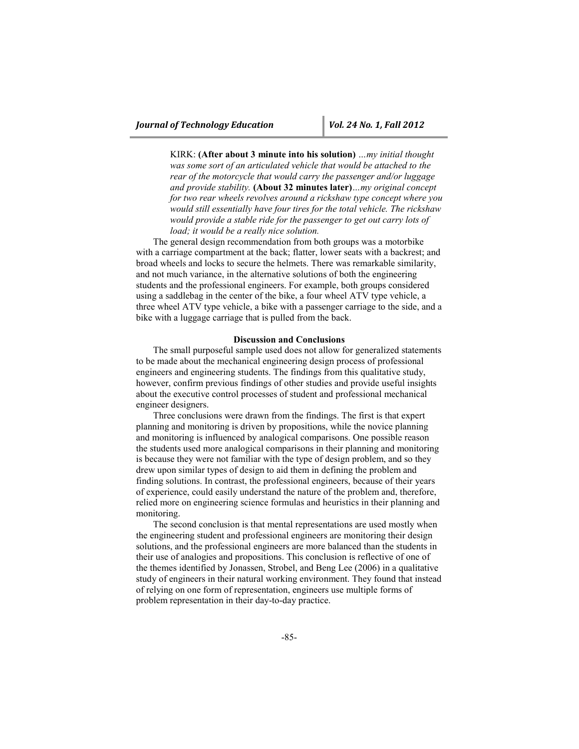KIRK: **(After about 3 minute into his solution)** *…my initial thought was some sort of an articulated vehicle that would be attached to the rear of the motorcycle that would carry the passenger and/or luggage and provide stability.* **(About 32 minutes later)***…my original concept for two rear wheels revolves around a rickshaw type concept where you would still essentially have four tires for the total vehicle. The rickshaw would provide a stable ride for the passenger to get out carry lots of load; it would be a really nice solution.*

The general design recommendation from both groups was a motorbike with a carriage compartment at the back; flatter, lower seats with a backrest; and broad wheels and locks to secure the helmets. There was remarkable similarity, and not much variance, in the alternative solutions of both the engineering students and the professional engineers. For example, both groups considered using a saddlebag in the center of the bike, a four wheel ATV type vehicle, a three wheel ATV type vehicle, a bike with a passenger carriage to the side, and a bike with a luggage carriage that is pulled from the back.

# **Discussion and Conclusions**

The small purposeful sample used does not allow for generalized statements to be made about the mechanical engineering design process of professional engineers and engineering students. The findings from this qualitative study, however, confirm previous findings of other studies and provide useful insights about the executive control processes of student and professional mechanical engineer designers.

Three conclusions were drawn from the findings. The first is that expert planning and monitoring is driven by propositions, while the novice planning and monitoring is influenced by analogical comparisons. One possible reason the students used more analogical comparisons in their planning and monitoring is because they were not familiar with the type of design problem, and so they drew upon similar types of design to aid them in defining the problem and finding solutions. In contrast, the professional engineers, because of their years of experience, could easily understand the nature of the problem and, therefore, relied more on engineering science formulas and heuristics in their planning and monitoring.

The second conclusion is that mental representations are used mostly when the engineering student and professional engineers are monitoring their design solutions, and the professional engineers are more balanced than the students in their use of analogies and propositions. This conclusion is reflective of one of the themes identified by Jonassen, Strobel, and Beng Lee (2006) in a qualitative study of engineers in their natural working environment. They found that instead of relying on one form of representation, engineers use multiple forms of problem representation in their day-to-day practice.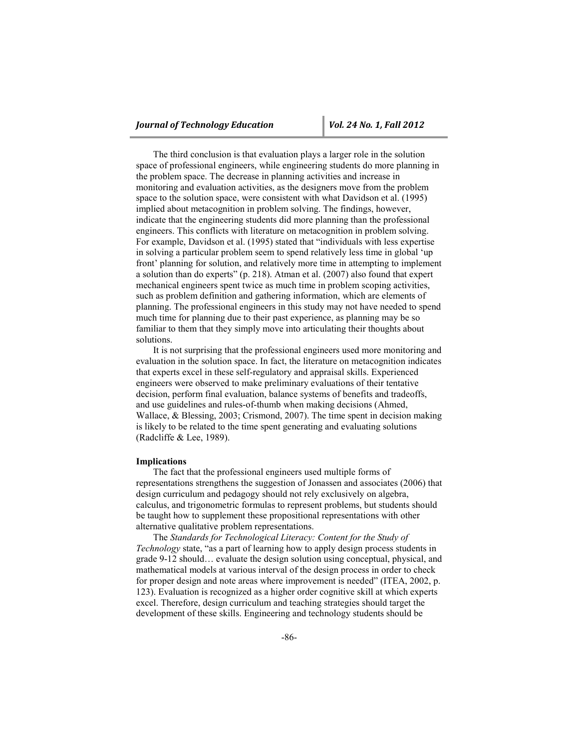The third conclusion is that evaluation plays a larger role in the solution space of professional engineers, while engineering students do more planning in the problem space. The decrease in planning activities and increase in monitoring and evaluation activities, as the designers move from the problem space to the solution space, were consistent with what Davidson et al. (1995) implied about metacognition in problem solving. The findings, however, indicate that the engineering students did more planning than the professional engineers. This conflicts with literature on metacognition in problem solving. For example, Davidson et al. (1995) stated that "individuals with less expertise in solving a particular problem seem to spend relatively less time in global 'up front' planning for solution, and relatively more time in attempting to implement a solution than do experts" (p. 218). Atman et al. (2007) also found that expert mechanical engineers spent twice as much time in problem scoping activities, such as problem definition and gathering information, which are elements of planning. The professional engineers in this study may not have needed to spend much time for planning due to their past experience, as planning may be so familiar to them that they simply move into articulating their thoughts about solutions.

It is not surprising that the professional engineers used more monitoring and evaluation in the solution space. In fact, the literature on metacognition indicates that experts excel in these self-regulatory and appraisal skills. Experienced engineers were observed to make preliminary evaluations of their tentative decision, perform final evaluation, balance systems of benefits and tradeoffs, and use guidelines and rules-of-thumb when making decisions (Ahmed, Wallace, & Blessing, 2003; Crismond, 2007). The time spent in decision making is likely to be related to the time spent generating and evaluating solutions (Radcliffe & Lee, 1989).

# **Implications**

The fact that the professional engineers used multiple forms of representations strengthens the suggestion of Jonassen and associates (2006) that design curriculum and pedagogy should not rely exclusively on algebra, calculus, and trigonometric formulas to represent problems, but students should be taught how to supplement these propositional representations with other alternative qualitative problem representations.

The *Standards for Technological Literacy: Content for the Study of Technology* state, "as a part of learning how to apply design process students in grade 9-12 should… evaluate the design solution using conceptual, physical, and mathematical models at various interval of the design process in order to check for proper design and note areas where improvement is needed" (ITEA, 2002, p. 123). Evaluation is recognized as a higher order cognitive skill at which experts excel. Therefore, design curriculum and teaching strategies should target the development of these skills. Engineering and technology students should be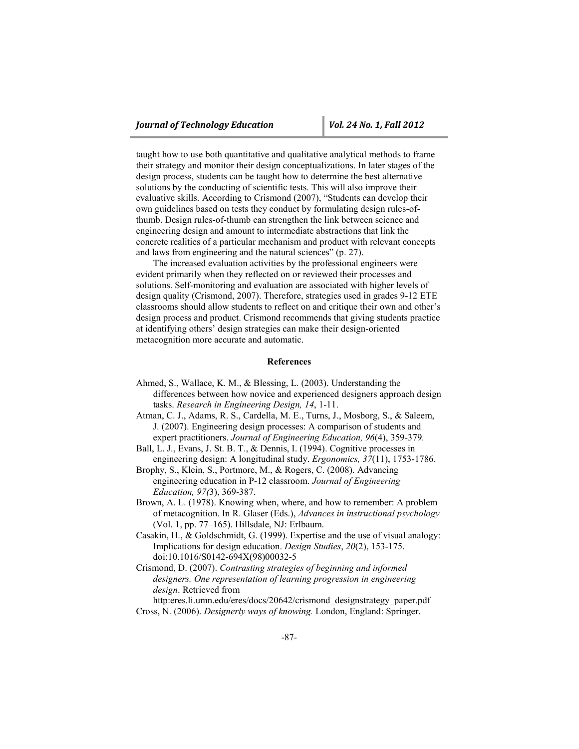taught how to use both quantitative and qualitative analytical methods to frame their strategy and monitor their design conceptualizations. In later stages of the design process, students can be taught how to determine the best alternative solutions by the conducting of scientific tests. This will also improve their evaluative skills. According to Crismond (2007), "Students can develop their own guidelines based on tests they conduct by formulating design rules-ofthumb. Design rules-of-thumb can strengthen the link between science and engineering design and amount to intermediate abstractions that link the concrete realities of a particular mechanism and product with relevant concepts and laws from engineering and the natural sciences" (p. 27).

The increased evaluation activities by the professional engineers were evident primarily when they reflected on or reviewed their processes and solutions. Self-monitoring and evaluation are associated with higher levels of design quality (Crismond, 2007). Therefore, strategies used in grades 9-12 ETE classrooms should allow students to reflect on and critique their own and other's design process and product. Crismond recommends that giving students practice at identifying others' design strategies can make their design-oriented metacognition more accurate and automatic.

#### **References**

- Ahmed, S., Wallace, K. M., & Blessing, L. (2003). Understanding the differences between how novice and experienced designers approach design tasks. *Research in Engineering Design, 14*, 1-11.
- Atman, C. J., Adams, R. S., Cardella, M. E., Turns, J., Mosborg, S., & Saleem, J. (2007). Engineering design processes: A comparison of students and expert practitioners. *Journal of Engineering Education, 96*(4), 359-379*.*
- Ball, L. J., Evans, J. St. B. T., & Dennis, I. (1994). Cognitive processes in engineering design: A longitudinal study. *Ergonomics, 37*(11), 1753-1786.
- Brophy, S., Klein, S., Portmore, M., & Rogers, C. (2008). Advancing engineering education in P-12 classroom. *Journal of Engineering Education, 97(*3), 369-387.
- Brown, A. L. (1978). Knowing when, where, and how to remember: A problem of metacognition. In R. Glaser (Eds.), *Advances in instructional psychology* (Vol. 1, pp. 77–165). Hillsdale, NJ: Erlbaum.
- Casakin, H., & Goldschmidt, G. (1999). Expertise and the use of visual analogy: Implications for design education. *Design Studies*, *20*(2), 153-175. doi:10.1016/S0142-694X(98)00032-5
- Crismond, D. (2007). *Contrasting strategies of beginning and informed designers. One representation of learning progression in engineering design*. Retrieved from

http:eres.li.umn.edu/eres/docs/20642/crismond\_designstrategy\_paper.pdf Cross, N. (2006). *Designerly ways of knowing.* London, England: Springer.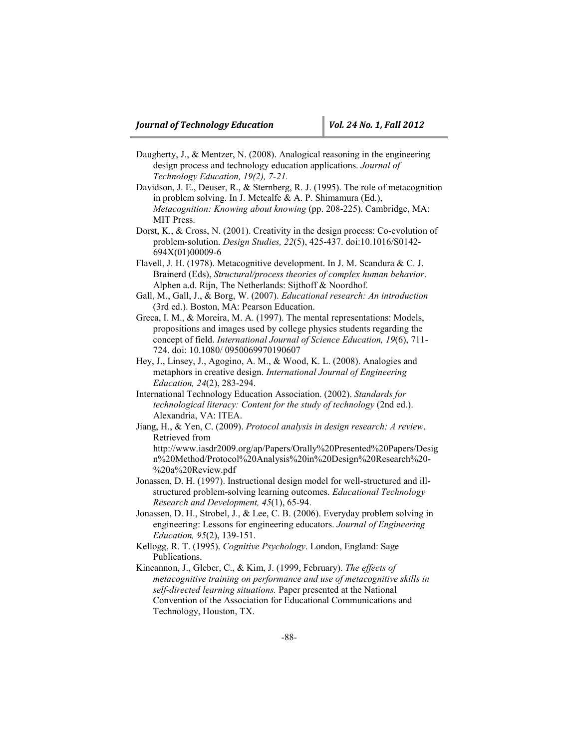- Daugherty, J., & Mentzer, N. (2008). Analogical reasoning in the engineering design process and technology education applications. *Journal of Technology Education, 19(2), 7-21.*
- Davidson, J. E., Deuser, R., & Sternberg, R. J. (1995). The role of metacognition in problem solving. In J. Metcalfe & A. P. Shimamura (Ed.), *Metacognition: Knowing about knowing* (pp. 208-225). Cambridge, MA: MIT Press.
- Dorst, K., & Cross, N. (2001). Creativity in the design process: Co-evolution of problem-solution. *Design Studies, 22*(5), 425-437. doi:10.1016/S0142- 694X(01)00009-6
- Flavell, J. H. (1978). Metacognitive development. In J. M. Scandura & C. J. Brainerd (Eds), *Structural/process theories of complex human behavior*. Alphen a.d. Rijn, The Netherlands: Sijthoff & Noordhof.
- Gall, M., Gall, J., & Borg, W. (2007). *Educational research: An introduction* (3rd ed.). Boston, MA: Pearson Education.
- Greca, I. M., & Moreira, M. A. (1997). The mental representations: Models, propositions and images used by college physics students regarding the concept of field. *International Journal of Science Education, 19*(6), 711- 724. doi: 10.1080/ 0950069970190607
- Hey, J., Linsey, J., Agogino, A. M., & Wood, K. L. (2008). Analogies and metaphors in creative design. *International Journal of Engineering Education, 24*(2), 283-294.
- International Technology Education Association. (2002). *Standards for technological literacy: Content for the study of technology* (2nd ed.). Alexandria, VA: ITEA.
- Jiang, H., & Yen, C. (2009). *Protocol analysis in design research: A review*. Retrieved from

http://www.iasdr2009.org/ap/Papers/Orally%20Presented%20Papers/Desig n%20Method/Protocol%20Analysis%20in%20Design%20Research%20- %20a%20Review.pdf

- Jonassen, D. H. (1997). Instructional design model for well-structured and illstructured problem-solving learning outcomes. *Educational Technology Research and Development, 45*(1), 65-94.
- Jonassen, D. H., Strobel, J., & Lee, C. B. (2006). Everyday problem solving in engineering: Lessons for engineering educators. *Journal of Engineering Education, 95*(2), 139-151.
- Kellogg, R. T. (1995). *Cognitive Psychology*. London, England: Sage Publications.
- Kincannon, J., Gleber, C., & Kim, J. (1999, February). *The effects of metacognitive training on performance and use of metacognitive skills in self-directed learning situations.* Paper presented at the National Convention of the Association for Educational Communications and Technology, Houston, TX.